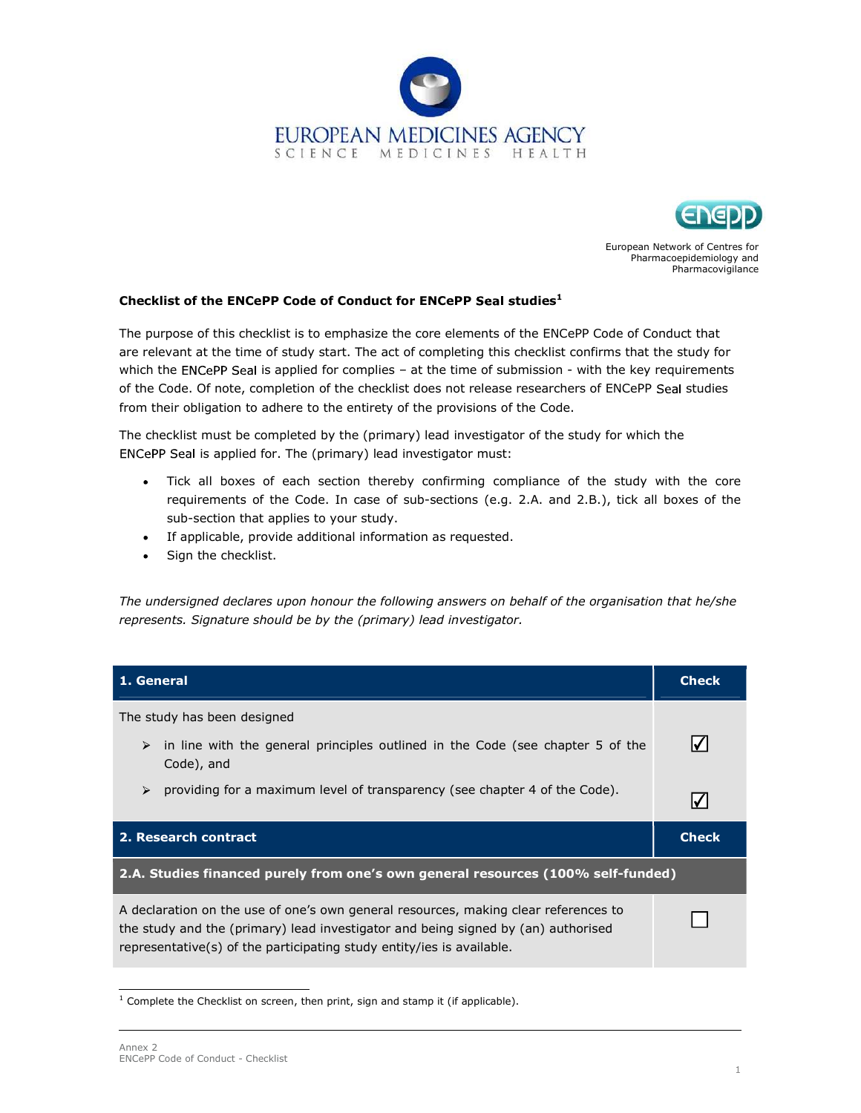



European Network of Centres for Pharmacoepidemiology and Pharmacovigilance

## Checklist of the ENCePP Code of Conduct for ENCePP Seal studies $<sup>1</sup>$ </sup>

The purpose of this checklist is to emphasize the core elements of the ENCePP Code of Conduct that are relevant at the time of study start. The act of completing this checklist confirms that the study for which the ENCePP Seal is applied for complies – at the time of submission - with the key requirements of the Code. Of note, completion of the checklist does not release researchers of ENCePP Seal studies from their obligation to adhere to the entirety of the provisions of the Code.

The checklist must be completed by the (primary) lead investigator of the study for which the ENCePP Seal is applied for. The (primary) lead investigator must:

- Tick all boxes of each section thereby confirming compliance of the study with the core requirements of the Code. In case of sub-sections (e.g. 2.A. and 2.B.), tick all boxes of the sub-section that applies to your study.
- If applicable, provide additional information as requested.
- Sign the checklist.  $\bullet$

The undersigned declares upon honour the following answers on behalf of the organisation that he/she represents. Signature should be by the (primary) lead investigator.

| 1. General                                                                                                                                                                                                                                        | <b>Check</b> |  |
|---------------------------------------------------------------------------------------------------------------------------------------------------------------------------------------------------------------------------------------------------|--------------|--|
| The study has been designed                                                                                                                                                                                                                       |              |  |
| in line with the general principles outlined in the Code (see chapter 5 of the<br>➤<br>Code), and                                                                                                                                                 |              |  |
| providing for a maximum level of transparency (see chapter 4 of the Code).<br>➤                                                                                                                                                                   |              |  |
| 2. Research contract                                                                                                                                                                                                                              | <b>Check</b> |  |
| 2.A. Studies financed purely from one's own general resources (100% self-funded)                                                                                                                                                                  |              |  |
| A declaration on the use of one's own general resources, making clear references to<br>the study and the (primary) lead investigator and being signed by (an) authorised<br>representative(s) of the participating study entity/ies is available. |              |  |

 $1$  Complete the Checklist on screen, then print, sign and stamp it (if applicable).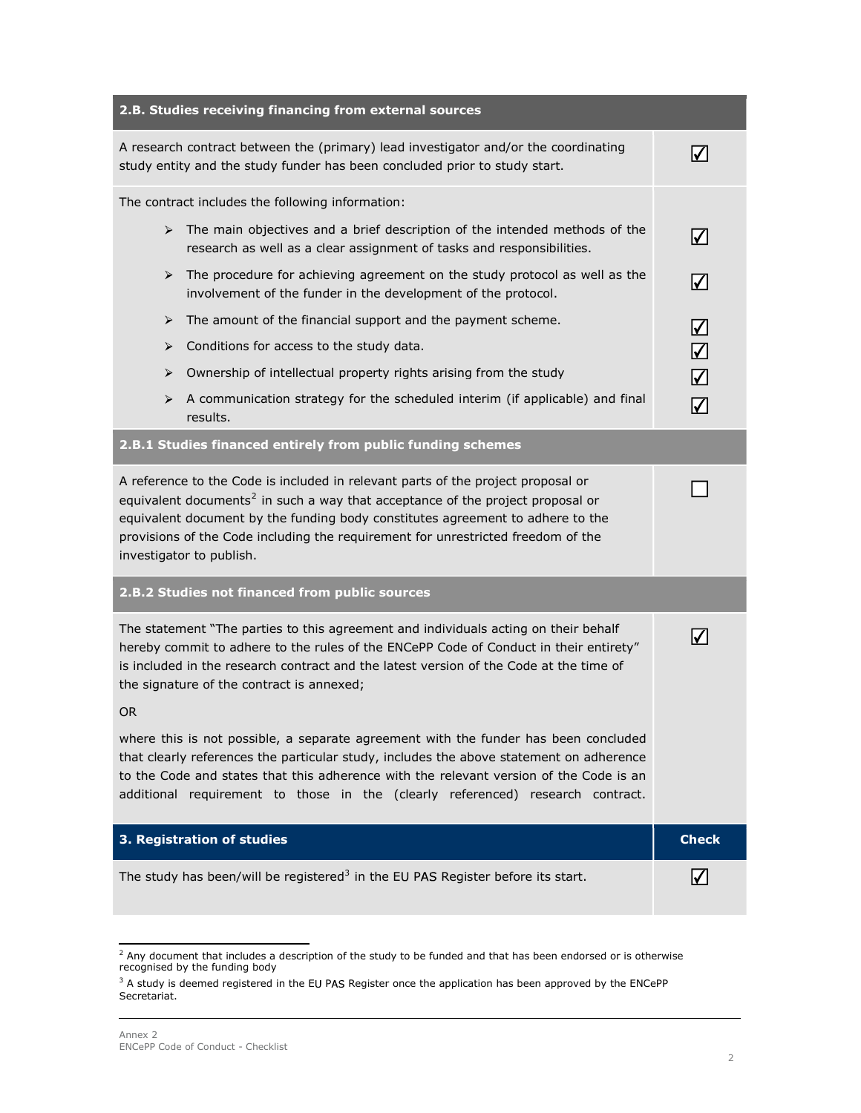| 2.B. Studies receiving financing from external sources                                                                                                                                                                                                                                                                                                                           |                          |
|----------------------------------------------------------------------------------------------------------------------------------------------------------------------------------------------------------------------------------------------------------------------------------------------------------------------------------------------------------------------------------|--------------------------|
| A research contract between the (primary) lead investigator and/or the coordinating<br>study entity and the study funder has been concluded prior to study start.                                                                                                                                                                                                                | $\overline{\mathcal{M}}$ |
| The contract includes the following information:                                                                                                                                                                                                                                                                                                                                 |                          |
| $\triangleright$ The main objectives and a brief description of the intended methods of the<br>research as well as a clear assignment of tasks and responsibilities.                                                                                                                                                                                                             | $\blacktriangledown$     |
| The procedure for achieving agreement on the study protocol as well as the<br>➤<br>involvement of the funder in the development of the protocol.                                                                                                                                                                                                                                 | $\blacktriangledown$     |
| The amount of the financial support and the payment scheme.<br>≻                                                                                                                                                                                                                                                                                                                 | $\blacktriangledown$     |
| Conditions for access to the study data.<br>➤                                                                                                                                                                                                                                                                                                                                    | $\overline{\mathcal{L}}$ |
| Ownership of intellectual property rights arising from the study<br>➤                                                                                                                                                                                                                                                                                                            | $\overline{\mathsf{v}}$  |
| A communication strategy for the scheduled interim (if applicable) and final<br>➤<br>results.                                                                                                                                                                                                                                                                                    | $\bm{\triangledown}$     |
| 2.B.1 Studies financed entirely from public funding schemes                                                                                                                                                                                                                                                                                                                      |                          |
| A reference to the Code is included in relevant parts of the project proposal or<br>equivalent documents <sup>2</sup> in such a way that acceptance of the project proposal or<br>equivalent document by the funding body constitutes agreement to adhere to the<br>provisions of the Code including the requirement for unrestricted freedom of the<br>investigator to publish. |                          |
| 2.B.2 Studies not financed from public sources                                                                                                                                                                                                                                                                                                                                   |                          |
| The statement "The parties to this agreement and individuals acting on their behalf<br>hereby commit to adhere to the rules of the ENCePP Code of Conduct in their entirety"<br>is included in the research contract and the latest version of the Code at the time of<br>the signature of the contract is annexed;                                                              | $ \checkmark $           |
| OR.                                                                                                                                                                                                                                                                                                                                                                              |                          |
| where this is not possible, a separate agreement with the funder has been concluded<br>that clearly references the particular study, includes the above statement on adherence<br>to the Code and states that this adherence with the relevant version of the Code is an<br>additional requirement to those in the (clearly referenced) research contract.                       |                          |
| 3. Registration of studies                                                                                                                                                                                                                                                                                                                                                       | <b>Check</b>             |
| The study has been/will be registered <sup>3</sup> in the EU PAS Register before its start.                                                                                                                                                                                                                                                                                      | $\sqrt{}$                |

<sup>&</sup>lt;sup>2</sup> Any document that includes a description of the study to be funded and that has been endorsed or is otherwise<br>recognised by the funding body

 $3$  A study is deemed registered in the EU PAS Register once the application has been approved by the ENCePP Secretariat.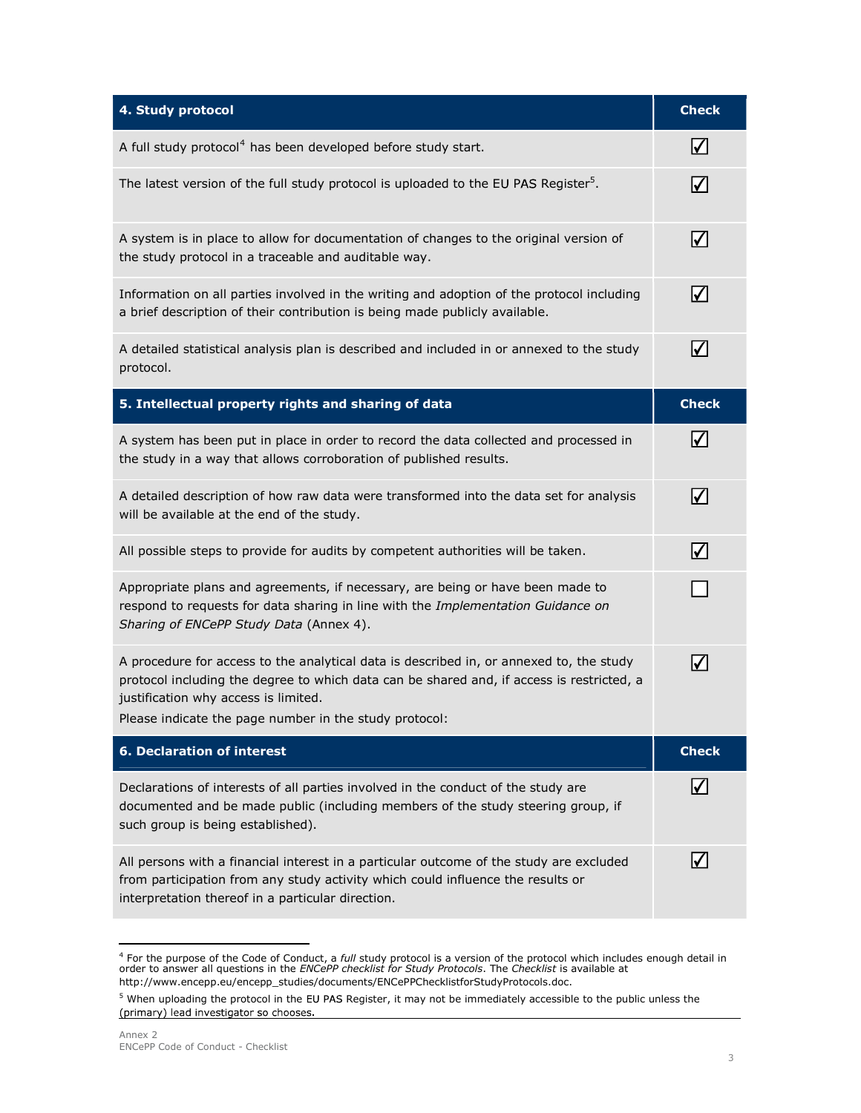| 4. Study protocol                                                                                                                                                                                                                                                                      | <b>Check</b>         |
|----------------------------------------------------------------------------------------------------------------------------------------------------------------------------------------------------------------------------------------------------------------------------------------|----------------------|
| A full study protocol <sup>4</sup> has been developed before study start.                                                                                                                                                                                                              | $\bm{\vee}$          |
| The latest version of the full study protocol is uploaded to the EU PAS Register <sup>5</sup> .                                                                                                                                                                                        | $\blacktriangledown$ |
| A system is in place to allow for documentation of changes to the original version of<br>the study protocol in a traceable and auditable way.                                                                                                                                          | $\bm{\triangledown}$ |
| Information on all parties involved in the writing and adoption of the protocol including<br>a brief description of their contribution is being made publicly available.                                                                                                               | $\blacktriangledown$ |
| A detailed statistical analysis plan is described and included in or annexed to the study<br>protocol.                                                                                                                                                                                 | $\blacktriangledown$ |
| 5. Intellectual property rights and sharing of data                                                                                                                                                                                                                                    | <b>Check</b>         |
| A system has been put in place in order to record the data collected and processed in<br>the study in a way that allows corroboration of published results.                                                                                                                            | $ \!\sqrt{ } $       |
| A detailed description of how raw data were transformed into the data set for analysis<br>will be available at the end of the study.                                                                                                                                                   | $\blacktriangledown$ |
| All possible steps to provide for audits by competent authorities will be taken.                                                                                                                                                                                                       | $\blacktriangledown$ |
| Appropriate plans and agreements, if necessary, are being or have been made to<br>respond to requests for data sharing in line with the Implementation Guidance on<br>Sharing of ENCePP Study Data (Annex 4).                                                                          |                      |
| A procedure for access to the analytical data is described in, or annexed to, the study<br>protocol including the degree to which data can be shared and, if access is restricted, a<br>justification why access is limited.<br>Please indicate the page number in the study protocol: | $\sqrt{}$            |
| <b>6. Declaration of interest</b>                                                                                                                                                                                                                                                      | <b>Check</b>         |
| Declarations of interests of all parties involved in the conduct of the study are<br>documented and be made public (including members of the study steering group, if<br>such group is being established).                                                                             | I√l                  |
| All persons with a financial interest in a particular outcome of the study are excluded<br>from participation from any study activity which could influence the results or<br>interpretation thereof in a particular direction.                                                        | M                    |

<sup>&</sup>lt;sup>4</sup> For the purpose of the Code of Conduct, a *full* study protocol is a version of the protocol which includes enough detail in<br>order to answer all questions in the *ENCePP checklist for Study Protocols*. The *Checklist* http://www.encepp.eu/encepp\_studies/documents/ENCePPChecklistforStudyProtocols.doc.

<sup>&</sup>lt;sup>5</sup> When uploading the protocol in the EU PAS Register, it may not be immediately accessible to the public unless the  $(primary)$  lead investigator so chooses.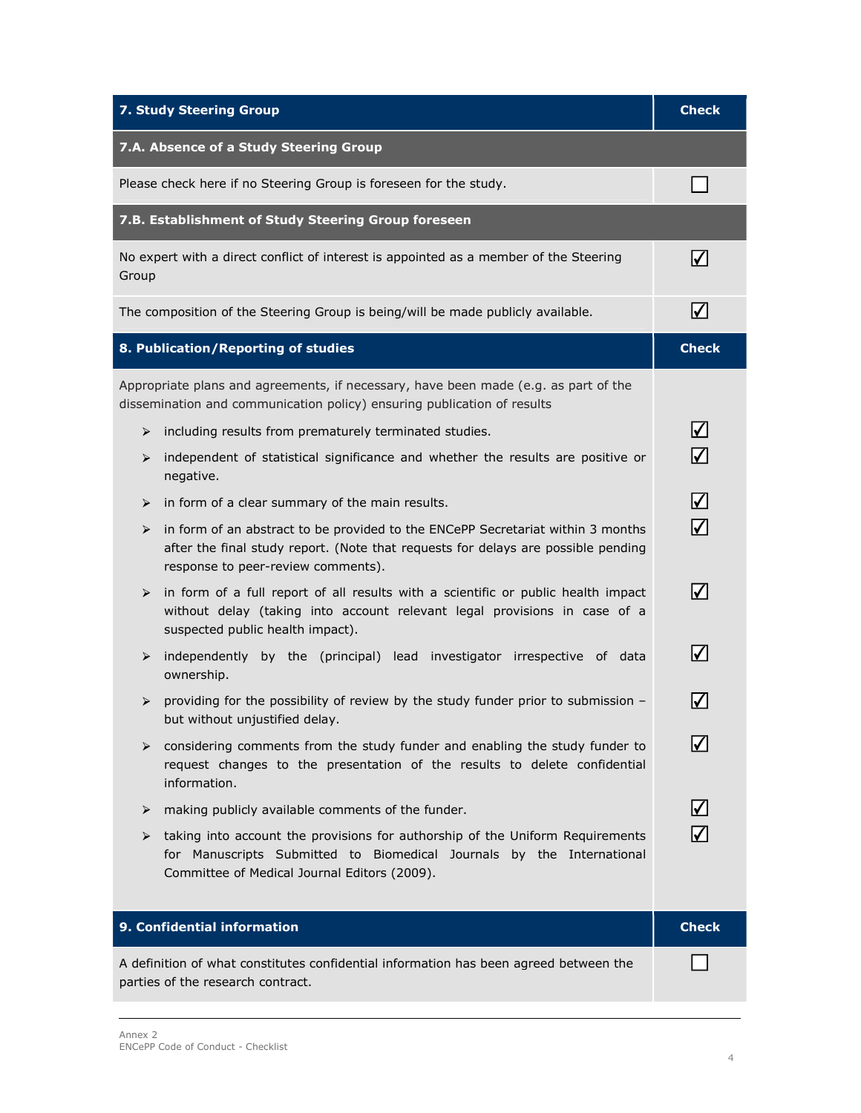| <b>7. Study Steering Group</b>                                                                                                                                                                                  | <b>Check</b>                |
|-----------------------------------------------------------------------------------------------------------------------------------------------------------------------------------------------------------------|-----------------------------|
| 7.A. Absence of a Study Steering Group                                                                                                                                                                          |                             |
| Please check here if no Steering Group is foreseen for the study.                                                                                                                                               |                             |
| 7.B. Establishment of Study Steering Group foreseen                                                                                                                                                             |                             |
| No expert with a direct conflict of interest is appointed as a member of the Steering<br>Group                                                                                                                  | $\vert \mathcal{V} \vert$   |
| The composition of the Steering Group is being/will be made publicly available.                                                                                                                                 | $\overline{\mathcal{M}}$    |
| 8. Publication/Reporting of studies                                                                                                                                                                             | <b>Check</b>                |
| Appropriate plans and agreements, if necessary, have been made (e.g. as part of the<br>dissemination and communication policy) ensuring publication of results                                                  |                             |
| including results from prematurely terminated studies.<br>≻                                                                                                                                                     | $\blacktriangledown$        |
| independent of statistical significance and whether the results are positive or<br>➤<br>negative.                                                                                                               | $\Delta$                    |
| in form of a clear summary of the main results.<br>➤                                                                                                                                                            | $\Delta$                    |
| in form of an abstract to be provided to the ENCePP Secretariat within 3 months<br>➤<br>after the final study report. (Note that requests for delays are possible pending<br>response to peer-review comments). | $\Delta$                    |
| in form of a full report of all results with a scientific or public health impact<br>➤<br>without delay (taking into account relevant legal provisions in case of a<br>suspected public health impact).         | $\vert \!\! \sqrt{2} \vert$ |
| independently by the (principal) lead investigator irrespective of data<br>➤<br>ownership.                                                                                                                      | $\blacktriangledown$        |
| providing for the possibility of review by the study funder prior to submission -<br>➤<br>but without unjustified delay.                                                                                        |                             |
| ➤<br>considering comments from the study funder and enabling the study funder to<br>request changes to the presentation of the results to delete confidential<br>information.                                   | $\blacktriangledown$        |
| making publicly available comments of the funder.<br>➤                                                                                                                                                          | $\blacktriangledown$        |
| taking into account the provisions for authorship of the Uniform Requirements<br>➤<br>for Manuscripts Submitted to Biomedical Journals by the International<br>Committee of Medical Journal Editors (2009).     | ∨                           |
| 9. Confidential information                                                                                                                                                                                     | <b>Check</b>                |
| A definition of what constitutes confidential information has been agreed between the<br>parties of the research contract.                                                                                      |                             |